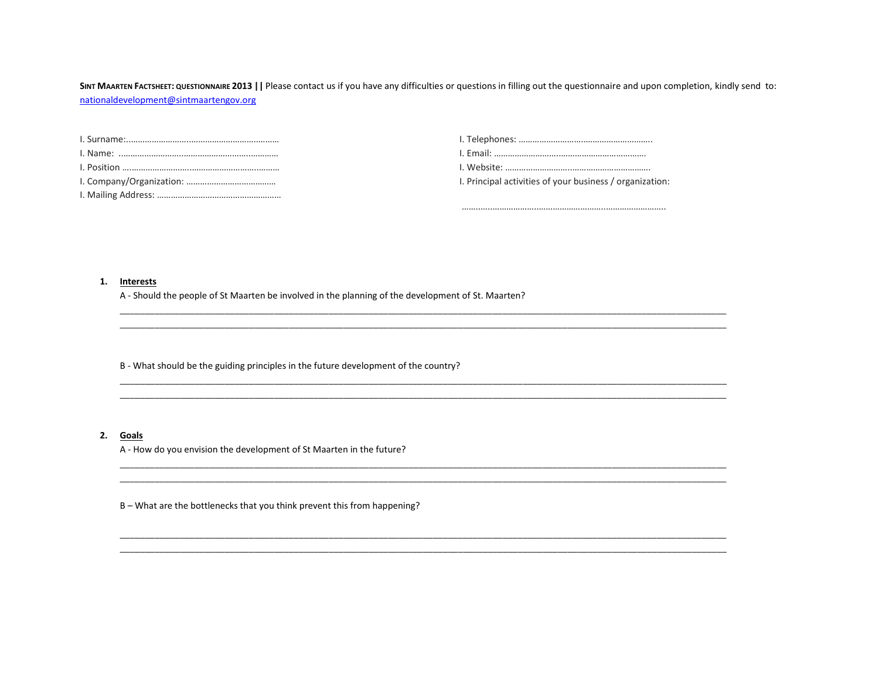SINT MAARTEN FACTSHEET: QUESTIONNAIRE 2013 | | Please contact us if you have any difficulties or questions in filling out the questionnaire and upon completion, kindly send to: [nationaldevelopment@sintmaartengov.org](mailto:nationaldevelopment@sintmaartengov.org)

\_\_\_\_\_\_\_\_\_\_\_\_\_\_\_\_\_\_\_\_\_\_\_\_\_\_\_\_\_\_\_\_\_\_\_\_\_\_\_\_\_\_\_\_\_\_\_\_\_\_\_\_\_\_\_\_\_\_\_\_\_\_\_\_\_\_\_\_\_\_\_\_\_\_\_\_\_\_\_\_\_\_\_\_\_\_\_\_\_\_\_\_\_\_\_\_\_\_\_\_\_\_\_\_\_\_\_\_\_\_\_\_\_\_\_\_\_\_\_\_\_\_ \_\_\_\_\_\_\_\_\_\_\_\_\_\_\_\_\_\_\_\_\_\_\_\_\_\_\_\_\_\_\_\_\_\_\_\_\_\_\_\_\_\_\_\_\_\_\_\_\_\_\_\_\_\_\_\_\_\_\_\_\_\_\_\_\_\_\_\_\_\_\_\_\_\_\_\_\_\_\_\_\_\_\_\_\_\_\_\_\_\_\_\_\_\_\_\_\_\_\_\_\_\_\_\_\_\_\_\_\_\_\_\_\_\_\_\_\_\_\_\_\_\_

\_\_\_\_\_\_\_\_\_\_\_\_\_\_\_\_\_\_\_\_\_\_\_\_\_\_\_\_\_\_\_\_\_\_\_\_\_\_\_\_\_\_\_\_\_\_\_\_\_\_\_\_\_\_\_\_\_\_\_\_\_\_\_\_\_\_\_\_\_\_\_\_\_\_\_\_\_\_\_\_\_\_\_\_\_\_\_\_\_\_\_\_\_\_\_\_\_\_\_\_\_\_\_\_\_\_\_\_\_\_\_\_\_\_\_\_\_\_\_\_\_\_ \_\_\_\_\_\_\_\_\_\_\_\_\_\_\_\_\_\_\_\_\_\_\_\_\_\_\_\_\_\_\_\_\_\_\_\_\_\_\_\_\_\_\_\_\_\_\_\_\_\_\_\_\_\_\_\_\_\_\_\_\_\_\_\_\_\_\_\_\_\_\_\_\_\_\_\_\_\_\_\_\_\_\_\_\_\_\_\_\_\_\_\_\_\_\_\_\_\_\_\_\_\_\_\_\_\_\_\_\_\_\_\_\_\_\_\_\_\_\_\_\_\_

\_\_\_\_\_\_\_\_\_\_\_\_\_\_\_\_\_\_\_\_\_\_\_\_\_\_\_\_\_\_\_\_\_\_\_\_\_\_\_\_\_\_\_\_\_\_\_\_\_\_\_\_\_\_\_\_\_\_\_\_\_\_\_\_\_\_\_\_\_\_\_\_\_\_\_\_\_\_\_\_\_\_\_\_\_\_\_\_\_\_\_\_\_\_\_\_\_\_\_\_\_\_\_\_\_\_\_\_\_\_\_\_\_\_\_\_\_\_\_\_\_\_ \_\_\_\_\_\_\_\_\_\_\_\_\_\_\_\_\_\_\_\_\_\_\_\_\_\_\_\_\_\_\_\_\_\_\_\_\_\_\_\_\_\_\_\_\_\_\_\_\_\_\_\_\_\_\_\_\_\_\_\_\_\_\_\_\_\_\_\_\_\_\_\_\_\_\_\_\_\_\_\_\_\_\_\_\_\_\_\_\_\_\_\_\_\_\_\_\_\_\_\_\_\_\_\_\_\_\_\_\_\_\_\_\_\_\_\_\_\_\_\_\_\_

\_\_\_\_\_\_\_\_\_\_\_\_\_\_\_\_\_\_\_\_\_\_\_\_\_\_\_\_\_\_\_\_\_\_\_\_\_\_\_\_\_\_\_\_\_\_\_\_\_\_\_\_\_\_\_\_\_\_\_\_\_\_\_\_\_\_\_\_\_\_\_\_\_\_\_\_\_\_\_\_\_\_\_\_\_\_\_\_\_\_\_\_\_\_\_\_\_\_\_\_\_\_\_\_\_\_\_\_\_\_\_\_\_\_\_\_\_\_\_\_\_\_ \_\_\_\_\_\_\_\_\_\_\_\_\_\_\_\_\_\_\_\_\_\_\_\_\_\_\_\_\_\_\_\_\_\_\_\_\_\_\_\_\_\_\_\_\_\_\_\_\_\_\_\_\_\_\_\_\_\_\_\_\_\_\_\_\_\_\_\_\_\_\_\_\_\_\_\_\_\_\_\_\_\_\_\_\_\_\_\_\_\_\_\_\_\_\_\_\_\_\_\_\_\_\_\_\_\_\_\_\_\_\_\_\_\_\_\_\_\_\_\_\_\_

| I. Principal activities of your business / organization: |
|----------------------------------------------------------|

……..…..………………..………………………..……………………..

**1. Interests**

A - Should the people of St Maarten be involved in the planning of the development of St. Maarten?

B - What should be the guiding principles in the future development of the country?

## **2. Goals**

A - How do you envision the development of St Maarten in the future?

B – What are the bottlenecks that you think prevent this from happening?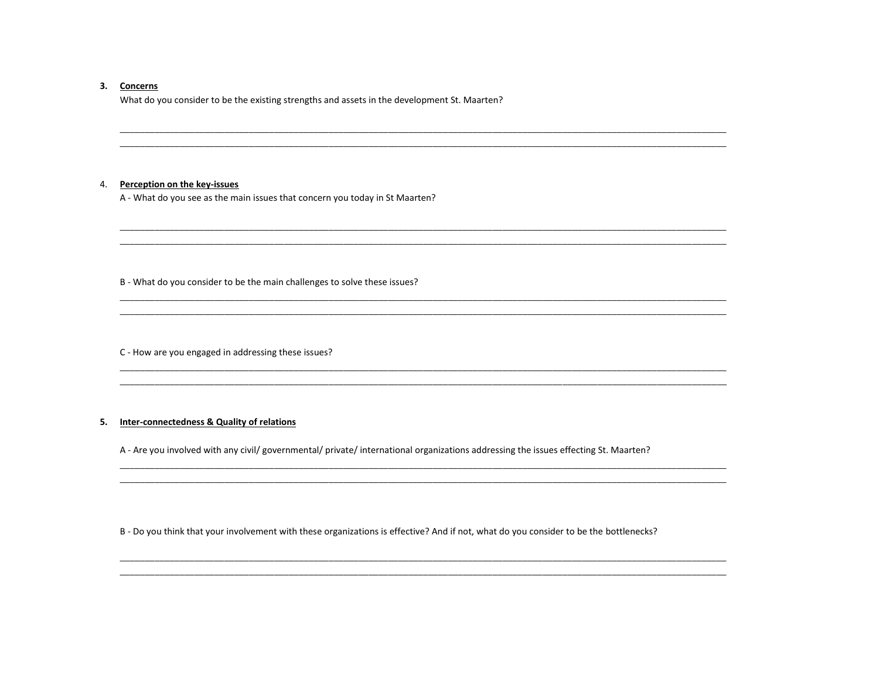#### 3. Concerns

What do you consider to be the existing strengths and assets in the development St. Maarten?

#### 4. Perception on the key-issues

A - What do you see as the main issues that concern you today in St Maarten?

B - What do you consider to be the main challenges to solve these issues?

C - How are you engaged in addressing these issues?

# 5. Inter-connectedness & Quality of relations

A - Are you involved with any civil/ governmental/ private/ international organizations addressing the issues effecting St. Maarten?

B - Do you think that your involvement with these organizations is effective? And if not, what do you consider to be the bottlenecks?